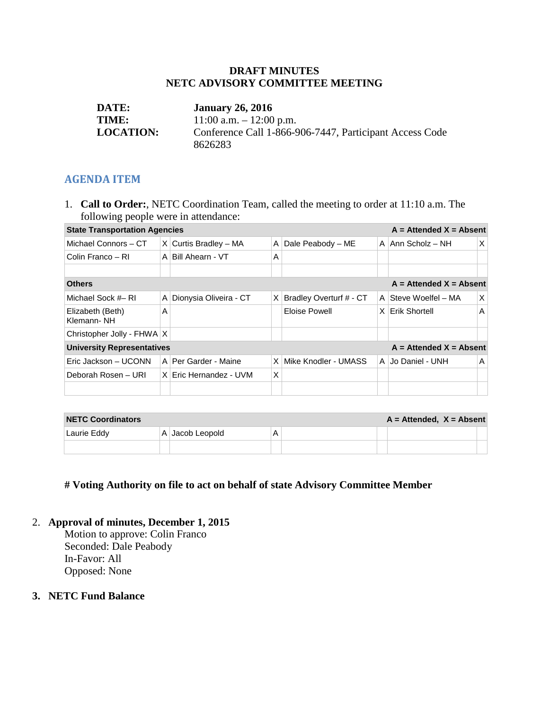#### **DRAFT MINUTES NETC ADVISORY COMMITTEE MEETING**

| <b>DATE:</b>     | <b>January 26, 2016</b>                                 |
|------------------|---------------------------------------------------------|
| <b>TIME:</b>     | $11:00$ a.m. $-12:00$ p.m.                              |
| <b>LOCATION:</b> | Conference Call 1-866-906-7447, Participant Access Code |
|                  | 8626283                                                 |

#### **AGENDA ITEM**

1. **Call to Order:**, NETC Coordination Team, called the meeting to order at 11:10 a.m. The following people were in attendance:

| $A =$ Attended $X =$ Absent<br><b>State Transportation Agencies</b> |   |                            |   |                         |          |                      |   |  |  |
|---------------------------------------------------------------------|---|----------------------------|---|-------------------------|----------|----------------------|---|--|--|
| Michael Connors - CT                                                |   | $X$ Curtis Bradley – MA    | A | Dale Peabody - ME       |          | A   Ann Scholz – NH  | X |  |  |
| Colin Franco - RI                                                   |   | A Bill Ahearn - VT         | A |                         |          |                      |   |  |  |
|                                                                     |   |                            |   |                         |          |                      |   |  |  |
| $A =$ Attended $X =$ Absent<br><b>Others</b>                        |   |                            |   |                         |          |                      |   |  |  |
| Michael Sock # RI                                                   |   | A   Dionysia Oliveira - CT | X | Bradley Overturf # - CT |          | A Steve Woelfel - MA | X |  |  |
| Elizabeth (Beth)<br>Klemann-NH                                      | А |                            |   | Eloise Powell           | $\times$ | Erik Shortell        | Α |  |  |
| Christopher Jolly - FHWA   X                                        |   |                            |   |                         |          |                      |   |  |  |
| $A =$ Attended $X =$ Absent<br><b>University Representatives</b>    |   |                            |   |                         |          |                      |   |  |  |
| Eric Jackson - UCONN                                                |   | A   Per Garder - Maine     |   | X Mike Knodler - UMASS  |          | A Jo Daniel - UNH    | A |  |  |
| Deborah Rosen - URI                                                 |   | $X$ Fric Hernandez - UVM   | X |                         |          |                      |   |  |  |
|                                                                     |   |                            |   |                         |          |                      |   |  |  |

| <b>NETC Coordinators</b> |                 |  | $A =$ Attended, $X =$ Absent |  |
|--------------------------|-----------------|--|------------------------------|--|
| Laurie Eddy              | A Jacob Leopold |  |                              |  |
|                          |                 |  |                              |  |

### **# Voting Authority on file to act on behalf of state Advisory Committee Member**

#### 2. **Approval of minutes, December 1, 2015**

Motion to approve: Colin Franco Seconded: Dale Peabody In-Favor: All Opposed: None

#### **3. NETC Fund Balance**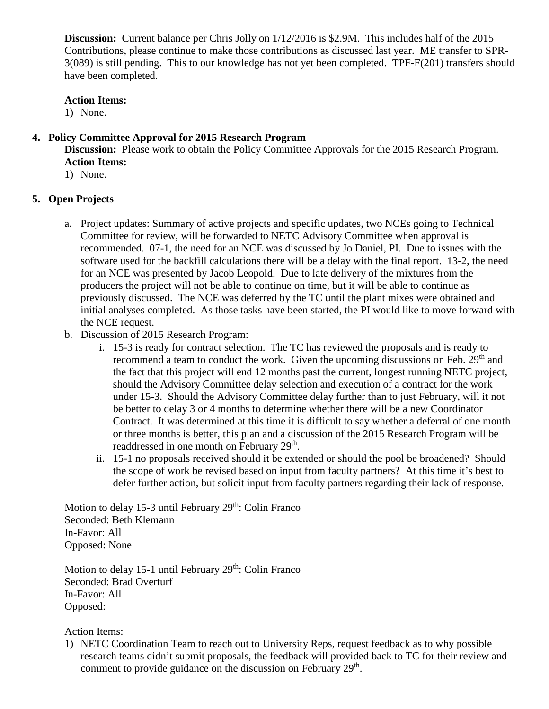**Discussion:** Current balance per Chris Jolly on 1/12/2016 is \$2.9M. This includes half of the 2015 Contributions, please continue to make those contributions as discussed last year. ME transfer to SPR-3(089) is still pending. This to our knowledge has not yet been completed. TPF-F(201) transfers should have been completed.

#### **Action Items:**

1) None.

#### **4. Policy Committee Approval for 2015 Research Program**

**Discussion:** Please work to obtain the Policy Committee Approvals for the 2015 Research Program. **Action Items:**

1) None.

#### **5. Open Projects**

- a. Project updates: Summary of active projects and specific updates, two NCEs going to Technical Committee for review, will be forwarded to NETC Advisory Committee when approval is recommended. 07-1, the need for an NCE was discussed by Jo Daniel, PI. Due to issues with the software used for the backfill calculations there will be a delay with the final report. 13-2, the need for an NCE was presented by Jacob Leopold. Due to late delivery of the mixtures from the producers the project will not be able to continue on time, but it will be able to continue as previously discussed. The NCE was deferred by the TC until the plant mixes were obtained and initial analyses completed. As those tasks have been started, the PI would like to move forward with the NCE request.
- b. Discussion of 2015 Research Program:
	- i. 15-3 is ready for contract selection. The TC has reviewed the proposals and is ready to recommend a team to conduct the work. Given the upcoming discussions on Feb. 29<sup>th</sup> and the fact that this project will end 12 months past the current, longest running NETC project, should the Advisory Committee delay selection and execution of a contract for the work under 15-3. Should the Advisory Committee delay further than to just February, will it not be better to delay 3 or 4 months to determine whether there will be a new Coordinator Contract. It was determined at this time it is difficult to say whether a deferral of one month or three months is better, this plan and a discussion of the 2015 Research Program will be readdressed in one month on February 29<sup>th</sup>.
	- ii. 15-1 no proposals received should it be extended or should the pool be broadened? Should the scope of work be revised based on input from faculty partners? At this time it's best to defer further action, but solicit input from faculty partners regarding their lack of response.

Motion to delay 15-3 until February  $29<sup>th</sup>$ : Colin Franco Seconded: Beth Klemann In-Favor: All Opposed: None

Motion to delay 15-1 until February  $29<sup>th</sup>$ : Colin Franco Seconded: Brad Overturf In-Favor: All Opposed:

Action Items:

1) NETC Coordination Team to reach out to University Reps, request feedback as to why possible research teams didn't submit proposals, the feedback will provided back to TC for their review and comment to provide guidance on the discussion on February  $29<sup>th</sup>$ .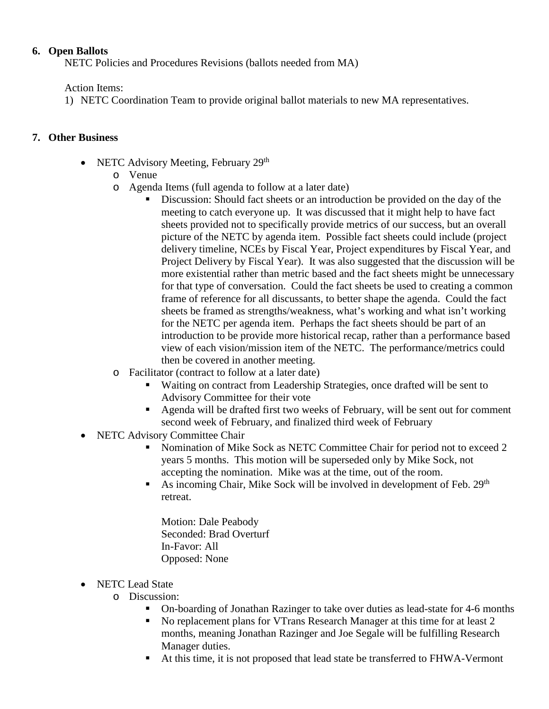#### **6. Open Ballots**

NETC Policies and Procedures Revisions (ballots needed from MA)

#### Action Items:

1) NETC Coordination Team to provide original ballot materials to new MA representatives.

#### **7. Other Business**

- NETC Advisory Meeting, February 29<sup>th</sup>
	- o Venue
	- o Agenda Items (full agenda to follow at a later date)
		- Discussion: Should fact sheets or an introduction be provided on the day of the meeting to catch everyone up. It was discussed that it might help to have fact sheets provided not to specifically provide metrics of our success, but an overall picture of the NETC by agenda item. Possible fact sheets could include (project delivery timeline, NCEs by Fiscal Year, Project expenditures by Fiscal Year, and Project Delivery by Fiscal Year). It was also suggested that the discussion will be more existential rather than metric based and the fact sheets might be unnecessary for that type of conversation. Could the fact sheets be used to creating a common frame of reference for all discussants, to better shape the agenda. Could the fact sheets be framed as strengths/weakness, what's working and what isn't working for the NETC per agenda item. Perhaps the fact sheets should be part of an introduction to be provide more historical recap, rather than a performance based view of each vision/mission item of the NETC. The performance/metrics could then be covered in another meeting.
	- o Facilitator (contract to follow at a later date)
		- Waiting on contract from Leadership Strategies, once drafted will be sent to Advisory Committee for their vote
		- Agenda will be drafted first two weeks of February, will be sent out for comment second week of February, and finalized third week of February
- NETC Advisory Committee Chair
	- Nomination of Mike Sock as NETC Committee Chair for period not to exceed 2 years 5 months. This motion will be superseded only by Mike Sock, not accepting the nomination. Mike was at the time, out of the room.
	- As incoming Chair, Mike Sock will be involved in development of Feb. 29<sup>th</sup> retreat.
		- Motion: Dale Peabody Seconded: Brad Overturf In-Favor: All Opposed: None
- NETC Lead State
	- o Discussion:
		- On-boarding of Jonathan Razinger to take over duties as lead-state for 4-6 months
		- No replacement plans for VTrans Research Manager at this time for at least 2 months, meaning Jonathan Razinger and Joe Segale will be fulfilling Research Manager duties.
		- At this time, it is not proposed that lead state be transferred to FHWA-Vermont